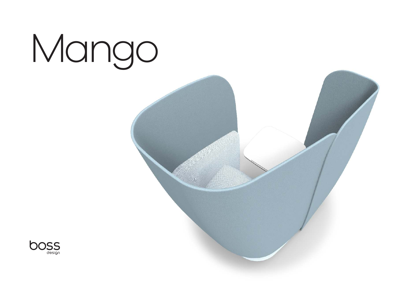# Mango

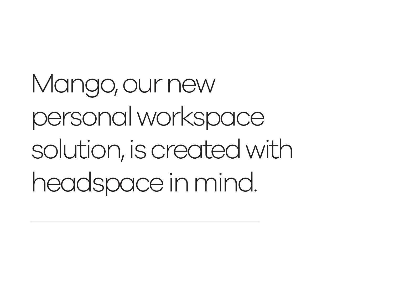Mango, our new personal workspace solution, is created with headspace in mind.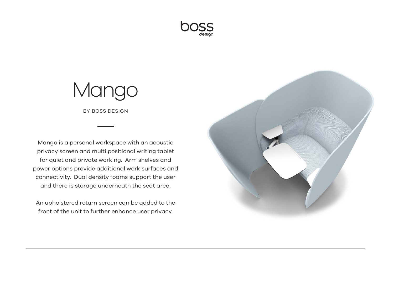

## Mango

BY BOSS DESIGN

Mango is a personal workspace with an acoustic privacy screen and multi positional writing tablet for quiet and private working. Arm shelves and power options provide additional work surfaces and connectivity. Dual density foams support the user and there is storage underneath the seat area.

An upholstered return screen can be added to the front of the unit to further enhance user privacy.

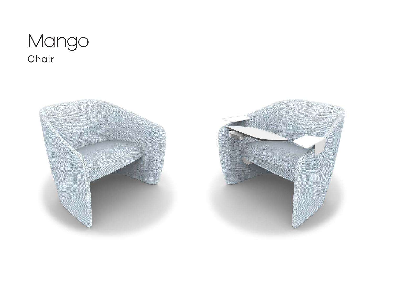## Mango Chair

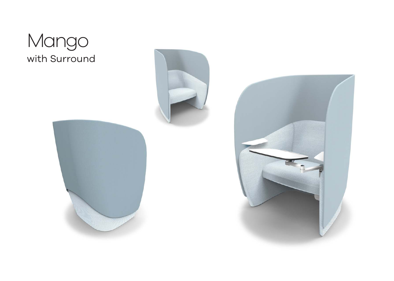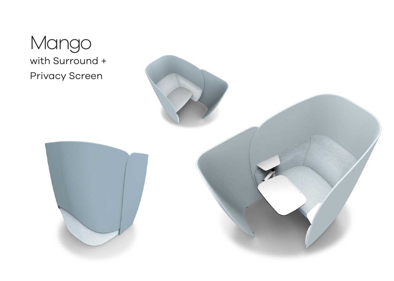

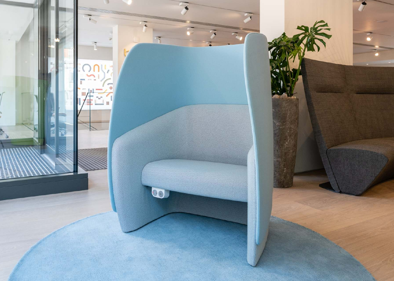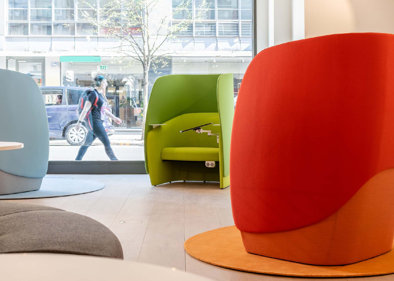